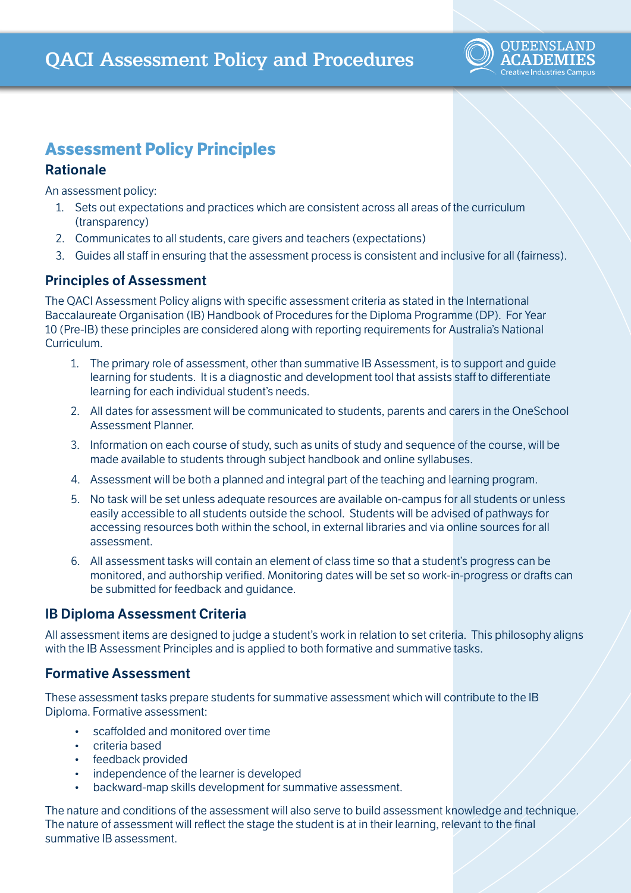

#### OUEENSLAND **ACADEMIES Creative Industries Campus**

# **Assessment Policy Principles**

### **Rationale**

An assessment policy:

- 1. Sets out expectations and practices which are consistent across all areas of the curriculum (transparency)
- 2. Communicates to all students, care givers and teachers (expectations)
- 3. Guides all staff in ensuring that the assessment process is consistent and inclusive for all (fairness).

## **Principles of Assessment**

The QACI Assessment Policy aligns with specific assessment criteria as stated in the International Baccalaureate Organisation (IB) Handbook of Procedures for the Diploma Programme (DP). For Year 10 (Pre-IB) these principles are considered along with reporting requirements for Australia's National Curriculum.

- 1. The primary role of assessment, other than summative IB Assessment, is to support and guide learning for students. It is a diagnostic and development tool that assists staff to differentiate learning for each individual student's needs.
- 2. All dates for assessment will be communicated to students, parents and carers in the OneSchool Assessment Planner.
- 3. Information on each course of study, such as units of study and sequence of the course, will be made available to students through subject handbook and online syllabuses.
- 4. Assessment will be both a planned and integral part of the teaching and learning program.
- 5. No task will be set unless adequate resources are available on-campus for all students or unless easily accessible to all students outside the school. Students will be advised of pathways for accessing resources both within the school, in external libraries and via online sources for all assessment.
- 6. All assessment tasks will contain an element of class time so that a student's progress can be monitored, and authorship verified. Monitoring dates will be set so work-in-progress or drafts can be submitted for feedback and guidance.

## **IB Diploma Assessment Criteria**

All assessment items are designed to judge a student's work in relation to set criteria. This philosophy aligns with the IB Assessment Principles and is applied to both formative and summative tasks.

### **Formative Assessment**

These assessment tasks prepare students for summative assessment which will contribute to the IB Diploma. Formative assessment:

- scaffolded and monitored over time
- criteria based
- feedback provided
- independence of the learner is developed
- backward-map skills development for summative assessment.

The nature and conditions of the assessment will also serve to build assessment knowledge and technique. The nature of assessment will reflect the stage the student is at in their learning, relevant to the final summative IB assessment.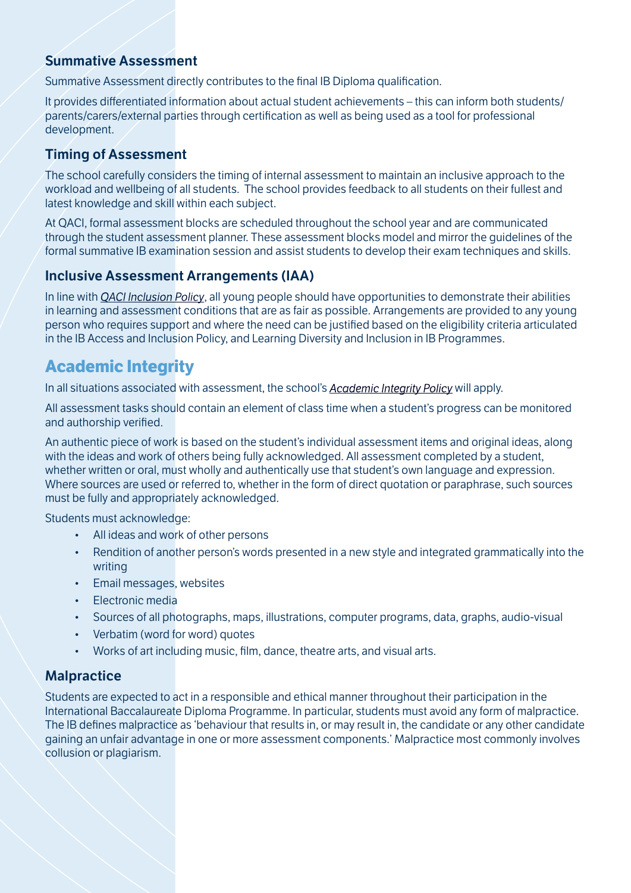### **Summative Assessment**

Summative Assessment directly contributes to the final IB Diploma qualification.

It provides differentiated information about actual student achievements – this can inform both students/ parents/carers/external parties through certification as well as being used as a tool for professional development.

## **Timing of Assessment**

The school carefully considers the timing of internal assessment to maintain an inclusive approach to the workload and wellbeing of all students. The school provides feedback to all students on their fullest and latest knowledge and skill within each subject.

At QACI, formal assessment blocks are scheduled throughout the school year and are communicated through the student assessment planner. These assessment blocks model and mirror the guidelines of the formal summative IB examination session and assist students to develop their exam techniques and skills.

### **Inclusive Assessment Arrangements (IAA)**

In line with *[QACI Inclusion Policy](https://qaci.eq.edu.au/SupportAndResources/FormsAndDocuments/Documents/Inclusion-policy.pdf)*, all young people should have opportunities to demonstrate their abilities in learning and assessment conditions that are as fair as possible. Arrangements are provided to any young person who requires support and where the need can be justified based on the eligibility criteria articulated in the IB Access and Inclusion Policy, and Learning Diversity and Inclusion in IB Programmes.

# **Academic Integrity**

In all situations associated with assessment, the school's *[Academic Integrity Policy](https://qaci.eq.edu.au/supportandresources/formsanddocuments/documents/academic-integrity-policy.pdf)* will apply.

All assessment tasks should contain an element of class time when a student's progress can be monitored and authorship verified.

An authentic piece of work is based on the student's individual assessment items and original ideas, along with the ideas and work of others being fully acknowledged. All assessment completed by a student, whether written or oral, must wholly and authentically use that student's own language and expression. Where sources are used or referred to, whether in the form of direct quotation or paraphrase, such sources must be fully and appropriately acknowledged.

Students must acknowledge:

- All ideas and work of other persons
- Rendition of another person's words presented in a new style and integrated grammatically into the writing
- Email messages, websites
- Electronic media
- Sources of all photographs, maps, illustrations, computer programs, data, graphs, audio-visual
- Verbatim (word for word) quotes
- Works of art including music, film, dance, theatre arts, and visual arts.

### **Malpractice**

Students are expected to act in a responsible and ethical manner throughout their participation in the International Baccalaureate Diploma Programme. In particular, students must avoid any form of malpractice. The IB defines malpractice as 'behaviour that results in, or may result in, the candidate or any other candidate gaining an unfair advantage in one or more assessment components.' Malpractice most commonly involves collusion or plagiarism.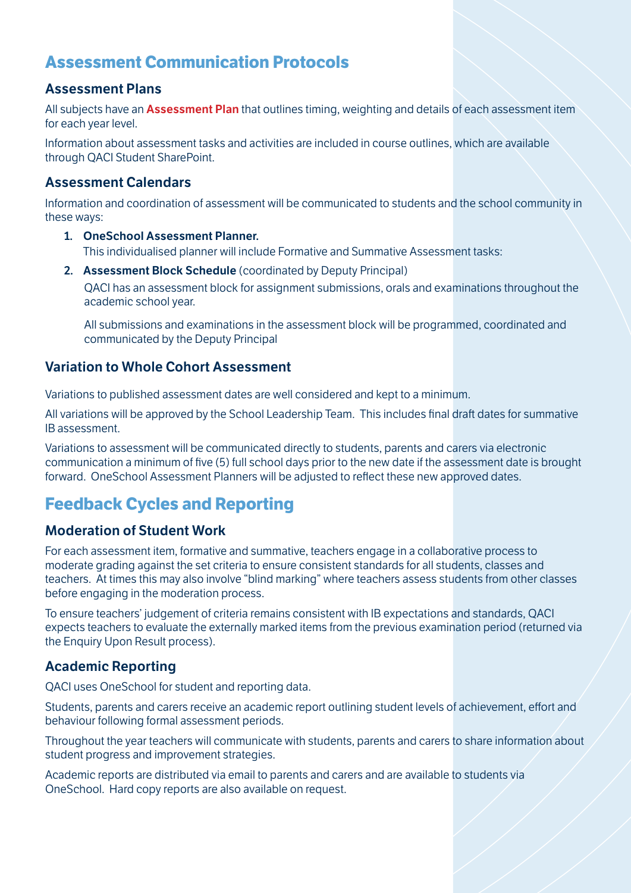# **Assessment Communication Protocols**

### **Assessment Plans**

All subjects have an **Assessment Plan** that outlines timing, weighting and details of each assessment item for each year level.

Information about assessment tasks and activities are included in course outlines, which are available through QACI Student SharePoint.

#### **Assessment Calendars**

Information and coordination of assessment will be communicated to students and the school community in these ways:

#### **1. OneSchool Assessment Planner.**

This individualised planner will include Formative and Summative Assessment tasks:

**2. Assessment Block Schedule** (coordinated by Deputy Principal)

QACI has an assessment block for assignment submissions, orals and examinations throughout the academic school year.

All submissions and examinations in the assessment block will be programmed, coordinated and communicated by the Deputy Principal

### **Variation to Whole Cohort Assessment**

Variations to published assessment dates are well considered and kept to a minimum.

All variations will be approved by the School Leadership Team. This includes final draft dates for summative IB assessment.

Variations to assessment will be communicated directly to students, parents and carers via electronic communication a minimum of five (5) full school days prior to the new date if the assessment date is brought forward. OneSchool Assessment Planners will be adjusted to reflect these new approved dates.

# **Feedback Cycles and Reporting**

### **Moderation of Student Work**

For each assessment item, formative and summative, teachers engage in a collaborative process to moderate grading against the set criteria to ensure consistent standards for all students, classes and teachers. At times this may also involve "blind marking" where teachers assess students from other classes before engaging in the moderation process.

To ensure teachers' judgement of criteria remains consistent with IB expectations and standards, QACI expects teachers to evaluate the externally marked items from the previous examination period (returned via the Enquiry Upon Result process).

#### **Academic Reporting**

QACI uses OneSchool for student and reporting data.

Students, parents and carers receive an academic report outlining student levels of achievement, effort and behaviour following formal assessment periods.

Throughout the year teachers will communicate with students, parents and carers to share information about student progress and improvement strategies.

Academic reports are distributed via email to parents and carers and are available to students via OneSchool. Hard copy reports are also available on request.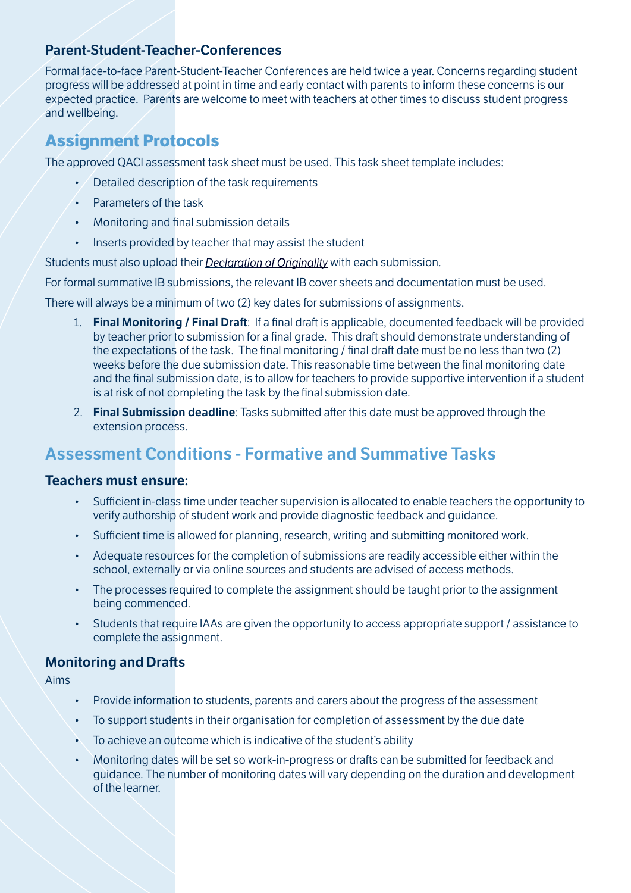### **Parent-Student-Teacher-Conferences**

Formal face-to-face Parent-Student-Teacher Conferences are held twice a year. Concerns regarding student progress will be addressed at point in time and early contact with parents to inform these concerns is our expected practice. Parents are welcome to meet with teachers at other times to discuss student progress and wellbeing.

# **Assignment Protocols**

The approved QACI assessment task sheet must be used. This task sheet template includes:

- Detailed description of the task requirements
- Parameters of the task
- Monitoring and final submission details
- Inserts provided by teacher that may assist the student

Students must also upload their *[Declaration of Originality](https://qaci.eq.edu.au/supportandresources/formsanddocuments/documents/declaration-of-originality.pdf)* with each submission.

For formal summative IB submissions, the relevant IB cover sheets and documentation must be used.

There will always be a minimum of two (2) key dates for submissions of assignments.

- 1. **Final Monitoring / Final Draft**: If a final draft is applicable, documented feedback will be provided by teacher prior to submission for a final grade. This draft should demonstrate understanding of the expectations of the task. The final monitoring / final draft date must be no less than two (2) weeks before the due submission date. This reasonable time between the final monitoring date and the final submission date, is to allow for teachers to provide supportive intervention if a student is at risk of not completing the task by the final submission date.
- 2. **Final Submission deadline**: Tasks submitted after this date must be approved through the extension process.

# **Assessment Conditions - Formative and Summative Tasks**

#### **Teachers must ensure:**

- Sufficient in-class time under teacher supervision is allocated to enable teachers the opportunity to verify authorship of student work and provide diagnostic feedback and guidance.
- Sufficient time is allowed for planning, research, writing and submitting monitored work.
- Adequate resources for the completion of submissions are readily accessible either within the school, externally or via online sources and students are advised of access methods.
- The processes required to complete the assignment should be taught prior to the assignment being commenced.
- Students that require IAAs are given the opportunity to access appropriate support / assistance to complete the assignment.

#### **Monitoring and Drafts**

Aims

- Provide information to students, parents and carers about the progress of the assessment
- To support students in their organisation for completion of assessment by the due date
- To achieve an outcome which is indicative of the student's ability
- Monitoring dates will be set so work-in-progress or drafts can be submitted for feedback and guidance. The number of monitoring dates will vary depending on the duration and development of the learner.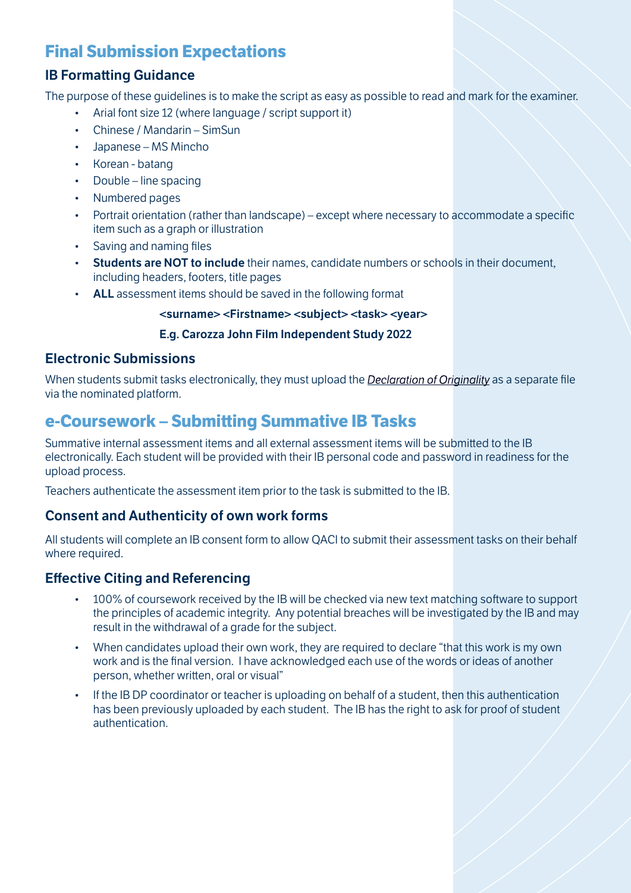# **Final Submission Expectations**

### **IB Formatting Guidance**

The purpose of these guidelines is to make the script as easy as possible to read and mark for the examiner.

- Arial font size 12 (where language / script support it)
- Chinese / Mandarin SimSun
- Japanese MS Mincho
- Korean batang
- Double line spacing
- Numbered pages
- Portrait orientation (rather than landscape) except where necessary to accommodate a specific item such as a graph or illustration
- Saving and naming files
- **Students are NOT to include** their names, candidate numbers or schools in their document, including headers, footers, title pages
- **ALL** assessment items should be saved in the following format

#### **<surname> <Firstname> <subject> <task> <year>**

#### **E.g. Carozza John Film Independent Study 2022**

### **Electronic Submissions**

When students submit tasks electronically, they must upload the *[Declaration of Originality](https://qaci.eq.edu.au/supportandresources/formsanddocuments/documents/declaration-of-originality.pdf)* as a separate file via the nominated platform.

# **e-Coursework – Submitting Summative IB Tasks**

Summative internal assessment items and all external assessment items will be submitted to the IB electronically. Each student will be provided with their IB personal code and password in readiness for the upload process.

Teachers authenticate the assessment item prior to the task is submitted to the IB.

#### **Consent and Authenticity of own work forms**

All students will complete an IB consent form to allow QACI to submit their assessment tasks on their behalf where required.

#### **Effective Citing and Referencing**

- 100% of coursework received by the IB will be checked via new text matching software to support the principles of academic integrity. Any potential breaches will be investigated by the IB and may result in the withdrawal of a grade for the subject.
- When candidates upload their own work, they are required to declare "that this work is my own work and is the final version. I have acknowledged each use of the words or ideas of another person, whether written, oral or visual"
- If the IB DP coordinator or teacher is uploading on behalf of a student, then this authentication has been previously uploaded by each student. The IB has the right to ask for proof of student authentication.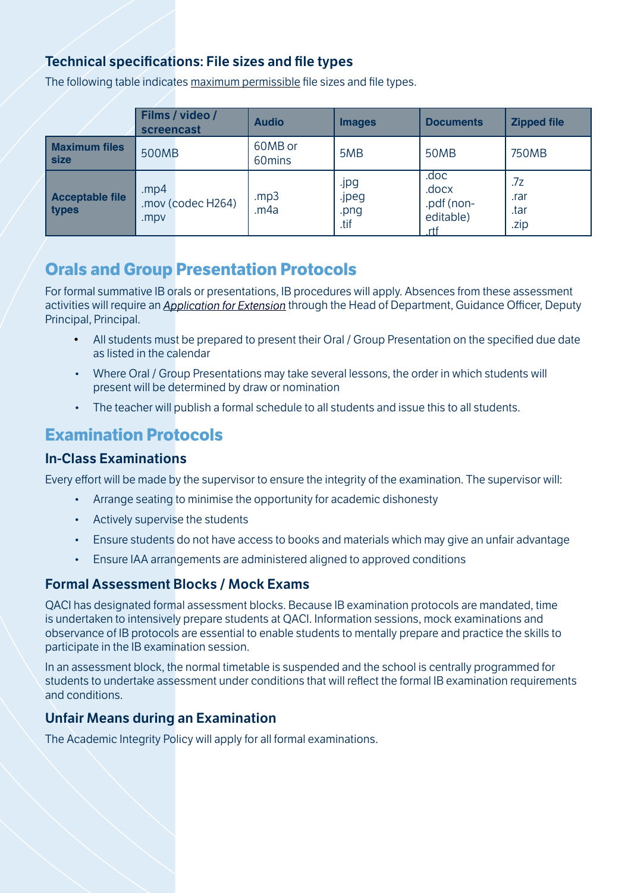## **Technical specifications: File sizes and file types**

The following table indicates maximum permissible file sizes and file types.

|                                 | Films / video /<br>screencast    | <b>Audio</b>      | <b>Images</b>                 | <b>Documents</b>                                 | <b>Zipped file</b>          |
|---------------------------------|----------------------------------|-------------------|-------------------------------|--------------------------------------------------|-----------------------------|
| <b>Maximum files</b><br>size    | <b>500MB</b>                     | 60MB or<br>60mins | 5MB                           | 50MB                                             | 750MB                       |
| <b>Acceptable file</b><br>types | mp4<br>.mov (codec H264)<br>.mpv | mp3<br>.m4a       | .jpg<br>.jpeg<br>.png<br>.tif | .doc<br>.docx<br>.pdf (non-<br>editable)<br>.rtf | .7z<br>rar.<br>.tar<br>.zip |

# **Orals and Group Presentation Protocols**

For formal summative IB orals or presentations, IB procedures will apply. Absences from these assessment activities will require an *[Application for Extension](https://qaci.eq.edu.au/supportandresources/formsanddocuments/documents/application-for-extension.pdf)* through the Head of Department, Guidance Officer, Deputy Principal, Principal.

- All students must be prepared to present their Oral / Group Presentation on the specified due date as listed in the calendar
- Where Oral / Group Presentations may take several lessons, the order in which students will present will be determined by draw or nomination
- The teacher will publish a formal schedule to all students and issue this to all students.

# **Examination Protocols**

#### **In-Class Examinations**

Every effort will be made by the supervisor to ensure the integrity of the examination. The supervisor will:

- Arrange seating to minimise the opportunity for academic dishonesty
- Actively supervise the students
- Ensure students do not have access to books and materials which may give an unfair advantage
- Ensure IAA arrangements are administered aligned to approved conditions

### **Formal Assessment Blocks / Mock Exams**

QACI has designated formal assessment blocks. Because IB examination protocols are mandated, time is undertaken to intensively prepare students at QACI. Information sessions, mock examinations and observance of IB protocols are essential to enable students to mentally prepare and practice the skills to participate in the IB examination session.

In an assessment block, the normal timetable is suspended and the school is centrally programmed for students to undertake assessment under conditions that will reflect the formal IB examination requirements and conditions.

### **Unfair Means during an Examination**

The Academic Integrity Policy will apply for all formal examinations.